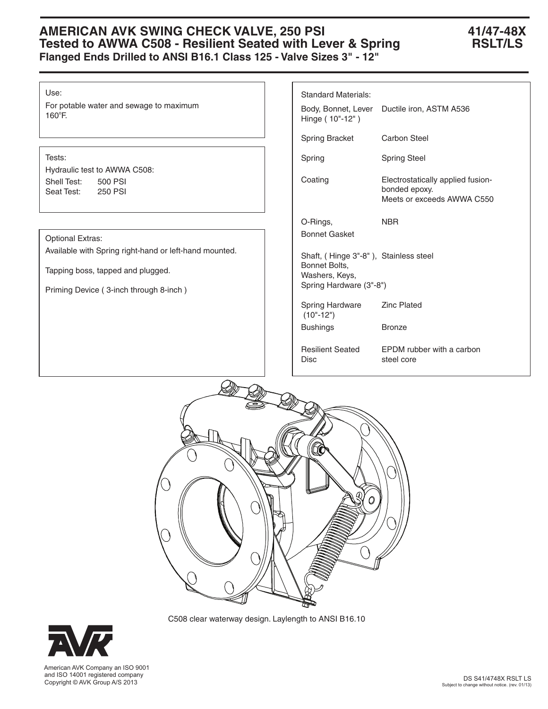## **AMERICAN AVK SWING CHECK VALVE, 250 PSI 41/47-48X Tested to AWWA C508 - Resilient Seated with Lever & Spring RSLT/LS Flanged Ends Drilled to ANSI B16.1 Class 125 - Valve Sizes 3" - 12"**

### Use:

For potable water and sewage to maximum 160°F.

## Tests:

Hydraulic test to AWWA C508: Shell Test: 500 PSI Seat Test: 250 PSI

### Optional Extras:

Available with Spring right-hand or left-hand mounted.

Tapping boss, tapped and plugged.

Priming Device ( 3-inch through 8-inch )

| <b>Standard Materials:</b><br>Body, Bonnet, Lever<br>Hinge (10"-12")                                | Ductile iron, ASTM A536                                                          |  |  |  |  |
|-----------------------------------------------------------------------------------------------------|----------------------------------------------------------------------------------|--|--|--|--|
| <b>Spring Bracket</b>                                                                               | Carbon Steel                                                                     |  |  |  |  |
| Spring                                                                                              | <b>Spring Steel</b>                                                              |  |  |  |  |
| Coating                                                                                             | Electrostatically applied fusion-<br>bonded epoxy.<br>Meets or exceeds AWWA C550 |  |  |  |  |
| O-Rings,<br><b>Bonnet Gasket</b>                                                                    | NBR                                                                              |  |  |  |  |
| Shaft, (Hinge 3"-8"), Stainless steel<br>Bonnet Bolts,<br>Washers, Keys,<br>Spring Hardware (3"-8") |                                                                                  |  |  |  |  |
| Spring Hardware<br>$(10" - 12")$                                                                    | <b>Zinc Plated</b>                                                               |  |  |  |  |
| <b>Bushings</b>                                                                                     | <b>Bronze</b>                                                                    |  |  |  |  |
| <b>Resilient Seated</b><br>Disc                                                                     | <b>EPDM</b> rubber with a carbon<br>steel core                                   |  |  |  |  |



C508 clear waterway design. Laylength to ANSI B16.10



 American AVK Company an ISO 9001 and ISO 14001 registered company Copyright © AVK Group A/S 2013